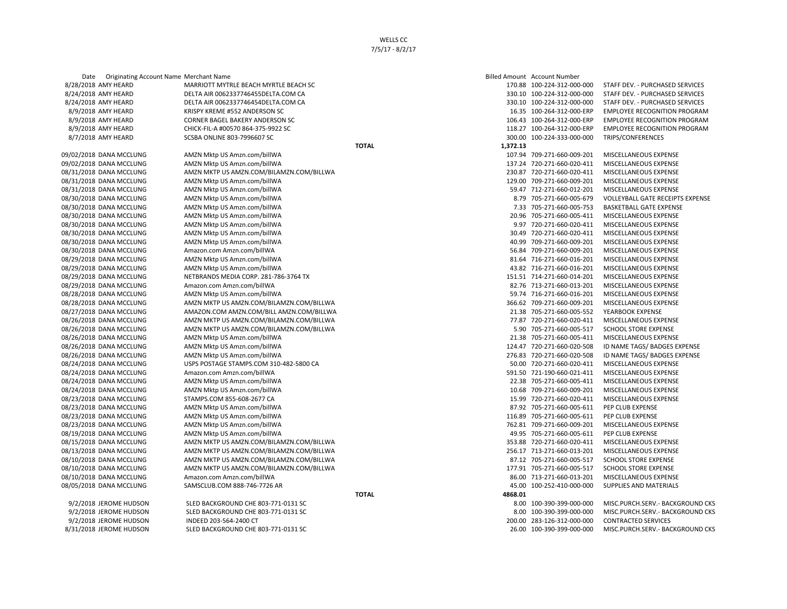8/31/2018 JEROME HUDSON SLED BACKGROUND CHE 803-771-0131 SC 26.00 26.000 26.00 100-390-399-000-000 MISC.PURCH.SERV.- BACKGROUND CKS

8/7/2018 AMY HEARD SCSBA ONLINE 803-7996607 SC 300.00 100-224-333-000-000 300.00 100-224-333-000-000

Date Originating Account Name Merchant Name **State Amount Account Name Billed Amount Account Number** 8/28/2018 AMY HEARD MARRIOTT MYTRLE BEACH MYRTLE BEACH SC 170.88 100-224-312-000-000 STAFF DEV. - PURCHASED SERVICES 8/24/2018 AMY HEARD DELTA AIR 0062337746455DELTA.COM CA 330.10 330.10 100-224-312-000-000 STAFF DEV. - PURCHASED SERVICES 8/24/2018 AMY HEARD DELTA AIR 0062337746454DELTA.COM CA 330.10 100-224-312-000-000 STAFF DEV. - PURCHASED SERVICES 8/9/2018 AMY HEARD KRISPY KREME #552 ANDERSON SC 16.35 100-264-312-000-ERP EMPLOYEE RECOGNITION PROGRAM 8/9/2018 AMY HEARD CORNER BAGEL BAKERY ANDERSON SC **106.43 100-264-312-000-ERP EMPLOYEE RECOGNITION PROGRAM** 8/9/2018 AMY HEARD CHICK-FIL-A #00570 864-375-9922 SC 118.27 200-264-312-000-ERP EMPLOYEE RECOGNITION PROGRAM<br>118.27 100-264-312-000-ERP EMPLOYEE RECOGNITION PROGRAM (SCSS) SC 118.27 100-264-313-000-000 TRIPS/CONFERENCES **TOTAL 1,372.13** 09/02/2018 DANA MCCLUNG AMZN Mktp US Amzn.com/billWA 107.94 709-271-660-009-201 MISCELLANEOUS EXPENSE 09/02/2018 DANA MCCLUNG AMZN Mktp US Amzn.com/billWA 137.24 720-271-660-020-411 MISCELLANEOUS EXPENSE 08/31/2018 DANA MCCLUNG AMZN MKTP US AMZN.COM/BILAMZN.COM/BILLWA 230.87 720-271-660-020-411 MISCELLANEOUS EXPENSE 08/31/2018 DANA MCCLUNG AMZN Mktp US Amzn.com/billWA 129.00 709-271-660-009-201 MISCELLANEOUS EXPENSE 08/31/2018 DANA MCCLUNG AMZN Mktp US Amzn.com/billWA 59.47 712-271-660-012-201 MISCELLANEOUS EXPENSE 08/30/2018 DANA MCCLUNG AMZN Mktp US Amzn.com/billWA 8.79 705-271-660-005-679 VOLLEYBALL GATE RECEIPTS EXPENSE 08/30/2018 DANA MCCLUNG AMZN Mktp US Amzn.com/billWA 7.33 705-271-660-005-753 BASKETBALL GATE EXPENSE 08/30/2018 DANA MCCLUNG AMZN Mktp US Amzn.com/billWA 20090 20.96 705-271-660-005-411 MISCELLANEOUS EXPENSE 08/30/2018 DANA MCCLUNG AMZN Mktp US Amzn.com/billWA 8. AMZN Mktp US Amzn.com/billWA 9.97 720-271-660-020-411 MISCELLANEOUS EXPENSE 08/30/2018 DANA MCCLUNG AMZN Mktp US Amzn.com/billWA 30.49 720-271-660-020-411 MISCELLANEOUS EXPENSE 08/30/2018 DANA MCCLUNG AMZN Mktp US Amzn.com/billWA 40.99 709-271-660-009-201 MISCELLANEOUS EXPENSE 08/30/2018 DANA MCCLUNG Amazon.com Amzn.com/billWA 56.84 709-271-660-009-201 MISCELLANEOUS EXPENSE 08/29/2018 DANA MCCLUNG AMZN Mktp US Amzn.com/billWA 81.64 716-271-660-016-201 MISCELLANEOUS EXPENSE 08/29/2018 DANA MCCLUNG AMZN Mktp US Amzn.com/billWA 43.82 716-271-660-016-201 MISCELLANEOUS EXPENSE 08/29/2018 DANA MCCLUNG NETBRANDS MEDIA CORP. 281-786-3764 TX 151.51 714-271-660-014-201 MISCELLANEOUS EXPENSE 08/29/2018 DANA MCCLUNG Amazon.com Amzn.com/billWA 82.76 713-271-660-013-201 MISCELLANEOUS EXPENSE 08/28/2018 DANA MCCLUNG AMZN Mktp US Amzn.com/billWA 59.74 716-271-660-016-201 MISCELLANEOUS EXPENSE 08/28/2018 DANA MCCLUNG AMZN MKTP US AMZN.COM/BILAMZN.COM/BILLWA 366.62 709-271-660-009-201 MISCELLANEOUS EXPENSE 08/27/2018 DANA MCCLUNG AMAZON.COM AMZN.COM/BILL AMZN.COM/BILLWA 21.38 705-271-660-005-552 YEARBOOK EXPENSE 08/26/2018 DANA MCCLUNG AMZN MKTP US AMZN.COM/BILAMZN.COM/BILLWA 77.87 720-271-660-020-411 MISCELLANEOUS EXPENSE 08/26/2018 DANA MCCLUNG AMZN MKTP US AMZN.COM/BILAMZN.COM/BILLWA 5.90 705-271-660-005-517 SCHOOL STORE EXPENSE 08/26/2018 DANA MCCLUNG AMZN Mktp US Amzn.com/billWA 21.38 705-271-660-005-411 MISCELLANEOUS EXPENSE 08/26/2018 DANA MCCLUNG AMZN Mktp US Amzn.com/billWA 124.47 720-271-660-020-508 ID NAME TAGS/ BADGES EXPENSE 08/26/2018 DANA MCCLUNG AMZN Mktp US Amzn.com/billWA 276.83 720-271-660-020-508 ID NAME TAGS/ BADGES EXPENSE 08/24/2018 DANA MCCLUNG USPS POSTAGE STAMPS.COM 310-482-5800 CA 50.00 720-271-660-020-411 MISCELLANEOUS EXPENSE 08/24/2018 DANA MCCLUNG Amazon.com Amzn.com/billWA 591.50 721-190-660-021-411 MISCELLANEOUS EXPENSE 08/24/2018 DANA MCCLUNG AMZN Mktp US Amzn.com/billWA 22.38 705-271-660-005-411 MISCELLANEOUS EXPENSE 08/24/2018 DANA MCCLUNG AMZN Mktp US Amzn.com/billWA 10.68 709-271-660-009-201 MISCELLANEOUS EXPENSE 08/23/2018 DANA MCCLUNG STAMPS.COM 855-608-2677 CA 15.99 720-271-660-020-411 MISCELLANEOUS EXPENSE 08/23/2018 DANA MCCLUNG AMZN Mktp US Amzn.com/billWA 87.92 705-271-660-005-611 PEP CLUB EXPENSE 08/23/2018 DANA MCCLUNG AMZN Mktp US Amzn.com/billWA 116.89 705-271-660-005-611 PEP CLUB EXPENSE 08/23/2018 DANA MCCLUNG AMZN Mktp US Amzn.com/billWA 762.81 762.81 709-271-660-009-201 MISCELLANEOUS EXPENSE 08/19/2018 DANA MCCLUNG AMZN Mktp US Amzn.com/billWA 49.95 705-271-660-005-611 PEP CLUB EXPENSE 08/15/2018 DANA MCCLUNG AMZN MKTP US AMZN.COM/BILAMZN.COM/BILLWA 353.88 720-271-660-020-411 MISCELLANEOUS EXPENSE 08/13/2018 DANA MCCLUNG AMZN MKTP US AMZN.COM/BILAMZN.COM/BILLWA 256.17 713-271-660-013-201 MISCELLANEOUS EXPENSE 08/10/2018 DANA MCCLUNG AMZN MKTP US AMZN.COM/BILAMZN.COM/BILLWA 87.12 705-271-660-005-517 SCHOOL STORE EXPENSE 08/10/2018 DANA MCCLUNG AMZN MKTP US AMZN.COM/BILAMZN.COM/BILLWA 177.91 177.91 705-271-660-005-517 SCHOOL STORE EXPENSE 08/10/2018 DANA MCCLUNG Amazon.com Amzn.com/billWA and the state of the state of the state of the state of the state of the state of the state of the state of the state of the state of the state of the state of the state o 08/05/2018 DANA MCCLUNG SAMSCLUB.COM 888-746-7726 AR 45.00 100-252-410-000-000 SUPPLIES AND MATERIALS **TOTAL 4868.01** 9/2/2018 JEROME HUDSON SLED BACKGROUND CHE 803-771-0131 SC 8.00 100-390-399-000-000 MISC.PURCH.SERV.- BACKGROUND CKS 9/2/2018 JEROME HUDSON SLED BACKGROUND CHE 803-771-0131 SC 8.00 100-390-399-000-000 MISC.PURCH.SERV.- BACKGROUND CKS 9/2/2018 JEROME HUDSON INDEED 203-564-2400 CT 200.00 283-126-312-000-000 CONTRACTED SERVICES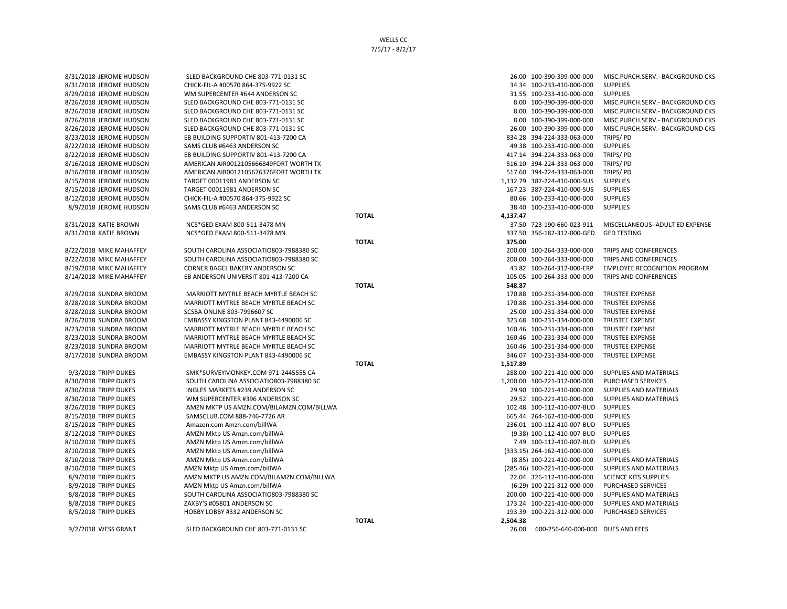| 8/31/2018 JEROME HUDSON | SLED BACKGROUND CHE 803-771-0131 SC      |              |          | 26.00 100-390-399-000-000         | MISC.PURCH.SERV.- BACKGROUND CKS    |
|-------------------------|------------------------------------------|--------------|----------|-----------------------------------|-------------------------------------|
| 8/31/2018 JEROME HUDSON | CHICK-FIL-A #00570 864-375-9922 SC       |              |          | 34.34 100-233-410-000-000         | <b>SUPPLIES</b>                     |
| 8/29/2018 JEROME HUDSON | WM SUPERCENTER #644 ANDERSON SC          |              |          | 31.55 100-233-410-000-000         | <b>SUPPLIES</b>                     |
| 8/26/2018 JEROME HUDSON | SLED BACKGROUND CHE 803-771-0131 SC      |              |          | 8.00 100-390-399-000-000          | MISC.PURCH.SERV.- BACKGROUND CKS    |
| 8/26/2018 JEROME HUDSON | SLED BACKGROUND CHE 803-771-0131 SC      |              |          | 8.00 100-390-399-000-000          | MISC.PURCH.SERV.- BACKGROUND CKS    |
| 8/26/2018 JEROME HUDSON | SLED BACKGROUND CHE 803-771-0131 SC      |              |          | 8.00 100-390-399-000-000          | MISC.PURCH.SERV.- BACKGROUND CKS    |
| 8/26/2018 JEROME HUDSON | SLED BACKGROUND CHE 803-771-0131 SC      |              |          | 26.00 100-390-399-000-000         | MISC.PURCH.SERV.- BACKGROUND CKS    |
| 8/23/2018 JEROME HUDSON | EB BUILDING SUPPORTIV 801-413-7200 CA    |              |          | 834.28 394-224-333-063-000        | TRIPS/PD                            |
| 8/22/2018 JEROME HUDSON | SAMS CLUB #6463 ANDERSON SC              |              |          | 49.38 100-233-410-000-000         | <b>SUPPLIES</b>                     |
| 8/22/2018 JEROME HUDSON | EB BUILDING SUPPORTIV 801-413-7200 CA    |              |          | 417.14 394-224-333-063-000        | TRIPS/PD                            |
| 8/16/2018 JEROME HUDSON | AMERICAN AIR0012105666849FORT WORTH TX   |              |          | 516.10 394-224-333-063-000        | TRIPS/PD                            |
| 8/16/2018 JEROME HUDSON | AMERICAN AIR0012105676376FORT WORTH TX   |              |          | 517.60 394-224-333-063-000        | TRIPS/PD                            |
| 8/15/2018 JEROME HUDSON | TARGET 00011981 ANDERSON SC              |              |          | 1,132.79 387-224-410-000-SUS      | <b>SUPPLIES</b>                     |
| 8/15/2018 JEROME HUDSON | TARGET 00011981 ANDERSON SC              |              |          | 167.23 387-224-410-000-SUS        | <b>SUPPLIES</b>                     |
| 8/12/2018 JEROME HUDSON | CHICK-FIL-A #00570 864-375-9922 SC       |              |          | 80.66 100-233-410-000-000         | <b>SUPPLIES</b>                     |
| 8/9/2018 JEROME HUDSON  | SAMS CLUB #6463 ANDERSON SC              |              |          | 38.40 100-233-410-000-000         | <b>SUPPLIES</b>                     |
|                         |                                          | <b>TOTAL</b> | 4,137.47 |                                   |                                     |
| 8/31/2018 KATIE BROWN   | NCS*GED EXAM 800-511-3478 MN             |              |          | 37.50 723-190-660-023-911         | MISCELLANEOUS- ADULT ED EXPENSE     |
| 8/31/2018 KATIE BROWN   | NCS*GED EXAM 800-511-3478 MN             |              |          | 337.50 356-182-312-000-GED        | <b>GED TESTING</b>                  |
|                         |                                          | <b>TOTAL</b> | 375.00   |                                   |                                     |
| 8/22/2018 MIKE MAHAFFEY | SOUTH CAROLINA ASSOCIATIO803-7988380 SC  |              |          | 200.00 100-264-333-000-000        | TRIPS AND CONFERENCES               |
| 8/22/2018 MIKE MAHAFFEY | SOUTH CAROLINA ASSOCIATIO803-7988380 SC  |              |          | 200.00 100-264-333-000-000        | TRIPS AND CONFERENCES               |
| 8/19/2018 MIKE MAHAFFEY | CORNER BAGEL BAKERY ANDERSON SC          |              |          | 43.82 100-264-312-000-ERP         | <b>EMPLOYEE RECOGNITION PROGRAM</b> |
| 8/14/2018 MIKE MAHAFFEY | EB ANDERSON UNIVERSIT 801-413-7200 CA    |              |          | 105.05 100-264-333-000-000        | TRIPS AND CONFERENCES               |
|                         |                                          | <b>TOTAL</b> | 548.87   |                                   |                                     |
| 8/29/2018 SUNDRA BROOM  | MARRIOTT MYTRLE BEACH MYRTLE BEACH SC    |              |          | 170.88 100-231-334-000-000        | <b>TRUSTEE EXPENSE</b>              |
| 8/28/2018 SUNDRA BROOM  | MARRIOTT MYTRLE BEACH MYRTLE BEACH SC    |              |          | 170.88 100-231-334-000-000        | <b>TRUSTEE EXPENSE</b>              |
| 8/28/2018 SUNDRA BROOM  | SCSBA ONLINE 803-7996607 SC              |              |          | 25.00 100-231-334-000-000         | <b>TRUSTEE EXPENSE</b>              |
| 8/26/2018 SUNDRA BROOM  | EMBASSY KINGSTON PLANT 843-4490006 SC    |              |          | 323.68 100-231-334-000-000        | <b>TRUSTEE EXPENSE</b>              |
| 8/23/2018 SUNDRA BROOM  | MARRIOTT MYTRLE BEACH MYRTLE BEACH SC    |              |          | 160.46 100-231-334-000-000        | <b>TRUSTEE EXPENSE</b>              |
| 8/23/2018 SUNDRA BROOM  | MARRIOTT MYTRLE BEACH MYRTLE BEACH SC    |              |          | 160.46 100-231-334-000-000        | <b>TRUSTEE EXPENSE</b>              |
| 8/23/2018 SUNDRA BROOM  | MARRIOTT MYTRLE BEACH MYRTLE BEACH SC    |              |          | 160.46 100-231-334-000-000        | <b>TRUSTEE EXPENSE</b>              |
| 8/17/2018 SUNDRA BROOM  | EMBASSY KINGSTON PLANT 843-4490006 SC    |              |          | 346.07 100-231-334-000-000        | <b>TRUSTEE EXPENSE</b>              |
|                         |                                          | <b>TOTAL</b> | 1,517.89 |                                   |                                     |
| 9/3/2018 TRIPP DUKES    | SMK*SURVEYMONKEY.COM 971-2445555 CA      |              |          | 288.00 100-221-410-000-000        | <b>SUPPLIES AND MATERIALS</b>       |
| 8/30/2018 TRIPP DUKES   | SOUTH CAROLINA ASSOCIATIO803-7988380 SC  |              |          | 1,200.00 100-221-312-000-000      | PURCHASED SERVICES                  |
| 8/30/2018 TRIPP DUKES   | INGLES MARKETS #239 ANDERSON SC          |              |          | 29.90 100-221-410-000-000         | SUPPLIES AND MATERIALS              |
| 8/30/2018 TRIPP DUKES   | WM SUPERCENTER #396 ANDERSON SC          |              |          | 29.52 100-221-410-000-000         | <b>SUPPLIES AND MATERIALS</b>       |
| 8/26/2018 TRIPP DUKES   | AMZN MKTP US AMZN.COM/BILAMZN.COM/BILLWA |              |          | 102.48 100-112-410-007-BUD        | <b>SUPPLIES</b>                     |
| 8/15/2018 TRIPP DUKES   | SAMSCLUB.COM 888-746-7726 AR             |              |          | 665.44 264-162-410-000-000        | <b>SUPPLIES</b>                     |
| 8/15/2018 TRIPP DUKES   | Amazon.com Amzn.com/billWA               |              |          | 236.01 100-112-410-007-BUD        | <b>SUPPLIES</b>                     |
| 8/12/2018 TRIPP DUKES   | AMZN Mktp US Amzn.com/billWA             |              |          | (9.38) 100-112-410-007-BUD        | <b>SUPPLIES</b>                     |
| 8/10/2018 TRIPP DUKES   | AMZN Mktp US Amzn.com/billWA             |              |          | 7.49 100-112-410-007-BUD          | <b>SUPPLIES</b>                     |
| 8/10/2018 TRIPP DUKES   | AMZN Mktp US Amzn.com/billWA             |              |          | (333.15) 264-162-410-000-000      | <b>SUPPLIES</b>                     |
| 8/10/2018 TRIPP DUKES   | AMZN Mktp US Amzn.com/billWA             |              |          | (8.85) 100-221-410-000-000        | SUPPLIES AND MATERIALS              |
| 8/10/2018 TRIPP DUKES   | AMZN Mktp US Amzn.com/billWA             |              |          | (285.46) 100-221-410-000-000      | SUPPLIES AND MATERIALS              |
| 8/9/2018 TRIPP DUKES    | AMZN MKTP US AMZN.COM/BILAMZN.COM/BILLWA |              |          | 22.04 326-112-410-000-000         | <b>SCIENCE KITS SUPPLIES</b>        |
| 8/9/2018 TRIPP DUKES    | AMZN Mktp US Amzn.com/billWA             |              |          | (6.29) 100-221-312-000-000        | PURCHASED SERVICES                  |
| 8/8/2018 TRIPP DUKES    | SOUTH CAROLINA ASSOCIATIO803-7988380 SC  |              |          | 200.00 100-221-410-000-000        | SUPPLIES AND MATERIALS              |
| 8/8/2018 TRIPP DUKES    | ZAXBY'S #05801 ANDERSON SC               |              |          | 173.24 100-221-410-000-000        | SUPPLIES AND MATERIALS              |
| 8/5/2018 TRIPP DUKES    | HOBBY LOBBY #332 ANDERSON SC             |              |          | 193.39 100-221-312-000-000        | PURCHASED SERVICES                  |
|                         |                                          | <b>TOTAL</b> | 2,504.38 |                                   |                                     |
| 9/2/2018 WESS GRANT     | SLED BACKGROUND CHE 803-771-0131 SC      |              | 26.00    | 600-256-640-000-000 DUES AND FEES |                                     |
|                         |                                          |              |          |                                   |                                     |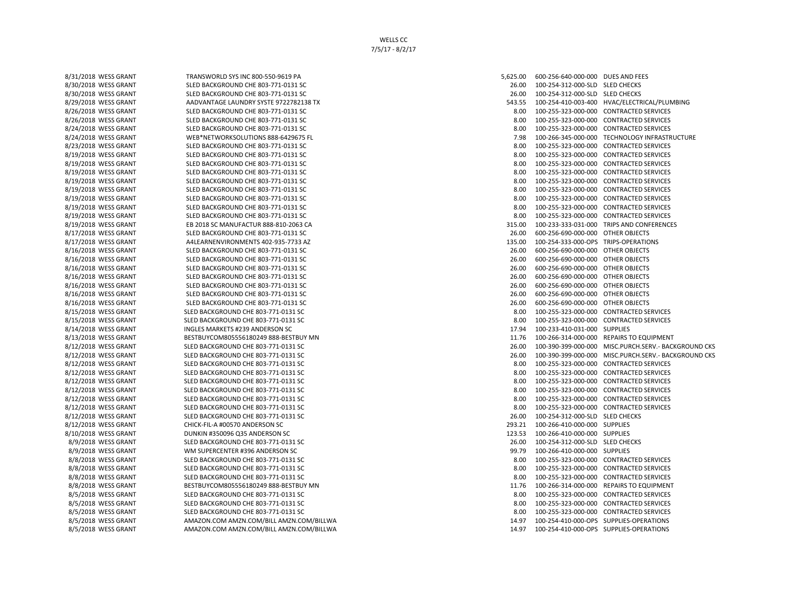8/14/2018 WESS GRANT NOLLES MARKETS #239 ANDERSON SC 17.94 100-233-410-031-000 SUPPLIES 8/12/2018 WESS GRANT CHICK-FIL-A #00570 ANDERSON SC 293.21 100-266-410-000-000 SUPPLIES 8/10/2018 WESS GRANT DUNKIN #350096 Q35 ANDERSON SC 123.53 100-266-410-000-000 SUPPLIES 8/9/2018 WESS GRANT WM SUPERCENTER #396 ANDERSON SC 99.79 100-266-410-000-000 SUPPLIES 8/5/2018 WESS GRANT AMAZON.COM AMZN.COM/BILL AMZN.COM/BILLWA 14.97 100-254-410-000-OPS SUPPLIES-OPERATIONS

8/31/2018 WESS GRANT TRANSWORLD SYS INC 800-550-9619 PA 5,621,000 SOLD 500-256-640-000-000 DUES AND FEES 8/30/2018 WESS GRANT SLED BACKGROUND CHE 803-771-0131 SC 26.00 260-300-31 26.00 100-254-312-000-SLD SLED CHECKS 8/30/2018 WESS GRANT SLED BACKGROUND CHE 803-771-0131 SC 26.00 264-512-000-SLD SLED CHECKS 8/29/2018 WESS GRANT ADVANTAGE LAUNDRY SYSTE 9722782138 TX 543.55 543.55 100-254-410-003-400 HVAC/ELECTRICAL/PLUMBING 8/26/2018 WESS GRANT SLED BACKGROUND CHE 803-771-0131 SC 8.00 100-255-323-000-000 CONTRACTED SERVICES 8/26/2018 WESS GRANT SLED BACKGROUND CHE 803-771-0131 SC 8.00 SUBSERVICES 8.00 100-255-323-000-000 CONTRACTED SERVICES 8/24/2018 WESS GRANT SLED BACKGROUND CHE 803-771-0131 SC 8.00 100-255-323-000-000 CONTRACTED SERVICES 8/24/2018 WESS GRANT WEB\*NETWORKSOLUTIONS 888-6429675 FL 7.98 7.98 100-266-345-000-000 TECHNOLOGY INFRASTRUCTURE 8/23/2018 WESS GRANT SLED BACKGROUND CHE 803-771-0131 SC 8.00 SUB-8.00 100-255-323-000-000 CONTRACTED SERVICES 8/19/2018 WESS GRANT SLED BACKGROUND CHE 803-771-0131 SC 8.00 100-255-323-000-000 CONTRACTED SERVICES 8/19/2018 WESS GRANT SLED BACKGROUND CHE 803-771-0131 SC 8.00 SUBSERVICES 8.00 100-255-323-000-000 CONTRACTED SERVICES 8/19/2018 WESS GRANT SLED BACKGROUND CHE 803-771-0131 SC 8.00 100-255-323-000-000 CONTRACTED SERVICES 8/19/2018 WESS GRANT SLED BACKGROUND CHE 803-771-0131 SC 8.00 100-255-323-000-000 CONTRACTED SERVICES 8/19/2018 WESS GRANT SLED BACKGROUND CHE 803-771-0131 SC 8.00 100-255-323-000-000 CONTRACTED SERVICES 8/19/2018 WESS GRANT SLED BACKGROUND CHE 803-771-0131 SC 8.00 SUBSERVICES 8.00 100-255-323-000-000 CONTRACTED SERVICES 8/19/2018 WESS GRANT SLED BACKGROUND CHE 803-771-0131 SC 8.00 SUBSERVICES 8.00 100-255-323-000-000 CONTRACTED SERVICES 8/19/2018 WESS GRANT SLED BACKGROUND CHE 803-771-0131 SC 8.00 100-255-323-000-000 CONTRACTED SERVICES 8/19/2018 WESS GRANT EB 2018 SC MANUFACTUR 888-810-2063 CA 315.00 315.00 100-233-333-031-000 TRIPS AND CONFERENCES 8/17/2018 WESS GRANT SLED BACKGROUND CHE 803-771-0131 SC 26.00 600-256-690-000-000 OTHER OBJECTS 8/17/2018 WESS GRANT A4LEARNENVIRONMENTS 402-935-7733 AZ 135.00 100-254-333-000-OPS TRIPS-OPERATIONS 8/16/2018 WESS GRANT SLED BACKGROUND CHE 803-771-0131 SC 26.00 256.00 600-256-690-000-000 OTHER OBJECTS 8/16/2018 WESS GRANT SLED BACKGROUND CHE 803-771-0131 SC 26.00 600-256-690-000-000 OTHER OBJECTS 8/16/2018 WESS GRANT SLED BACKGROUND CHE 803-771-0131 SC 26.00 256-00 256-000-000 OTHER OBJECTS 8/16/2018 WESS GRANT SLED BACKGROUND CHE 803-771-0131 SC 26.00 256-00 256-000-000 OTHER OBJECTS 8/16/2018 WESS GRANT SLED BACKGROUND CHE 803-771-0131 SC 26.00 600-256-690-000-000 OTHER OBJECTS 8/16/2018 WESS GRANT SLED BACKGROUND CHE 803-771-0131 SC 26.00 600-256-690-000-000 OTHER OBJECTS 8/16/2018 WESS GRANT SLED BACKGROUND CHE 803-771-0131 SC 26.00 256-00 256-000-000 OTHER OBJECTS 8/15/2018 WESS GRANT SLED BACKGROUND CHE 803-771-0131 SC 8.00 100-255-323-000-000 CONTRACTED SERVICES 8/15/2018 WESS GRANT SLED BACKGROUND CHE 803-771-0131 SC 8.00 100-255-323-000-000 CONTRACTED SERVICES 8/13/2018 WESS GRANT BESTBUYCOM805556180249 888-BESTBUY MN 11.76 100-266-314-000-000 REPAIRS TO EQUIPMENT 8/12/2018 WESS GRANT SLED BACKGROUND CHE 803-771-0131 SC 26.00 2000000 26.00 26.00 26.00 200-399-000-000 MISC.PURCH.SERV.- BACKGROUND CKS 26.00 200-390-399-000-000 MISC.PURCH.SERV.- BACKGROUND CKS 26.00 200-390-399-000-000 8/12/2018 WESS GRANT SLED BACKGROUND CHE 803-771-0131 SC 26.00 26.00 26.00 100-390-399-000-000 MISC.PURCH.SERV.- BACKGROUND CKS 8/12/2018 WESS GRANT SLED BACKGROUND CHE 803-771-0131 SC 8.00 100-255-323-000-000 CONTRACTED SERVICES 8/12/2018 WESS GRANT SLED BACKGROUND CHE 803-771-0131 SC 8.00 SUBSERVICES 8.00 100-255-323-000-000 CONTRACTED SERVICES 8/12/2018 WESS GRANT SLED BACKGROUND CHE 803-771-0131 SC SALED SERVICES 8.00 100-255-323-000-000 CONTRACTED SERVICES 8/12/2018 WESS GRANT SLED BACKGROUND CHE 803-771-0131 SC 8.00 100-255-323-000-000 CONTRACTED SERVICES 8/12/2018 WESS GRANT SLED BACKGROUND CHE 803-771-0131 SC 8.00 100-255-323-000-000 CONTRACTED SERVICES 8/12/2018 WESS GRANT SLED BACKGROUND CHE 803-771-0131 SC 8.00 SUBSERVICES 8.00 100-255-323-000-000 CONTRACTED SERVICES 8/12/2018 WESS GRANT SLED BACKGROUND CHE 803-771-0131 SC 26.00 100-254-312-000-SLD SLED CHECKS 8/9/2018 WESS GRANT SLED BACKGROUND CHE 803-771-0131 SC 26.00 26.00 100-254-312-000-SLD SLED CHECKS 8/8/2018 WESS GRANT SLED BACKGROUND CHE 803-771-0131 SC 8.00 SUBSERVICES 8.00 100-255-323-000-000 CONTRACTED SERVICES 8/8/2018 WESS GRANT SLED BACKGROUND CHE 803-771-0131 SC 8.00 100-255-323-000-000 CONTRACTED SERVICES 8/8/2018 WESS GRANT SLED BACKGROUND CHE 803-771-0131 SC 8.00 100-255-323-000-000 CONTRACTED SERVICES 8/8/2018 WESS GRANT BESTBUYCOM805556180249 888-BESTBUY MN 11.76 100-266-314-000-000 REPAIRS TO EQUIPMENT 8/5/2018 WESS GRANT SLED BACKGROUND CHE 803-771-0131 SC 8.00 100-255-323-000-000 CONTRACTED SERVICES 8/5/2018 WESS GRANT SLED BACKGROUND CHE 803-771-0131 SC 8.00 CONTRACTED SERVICES 8/5/2018 WESS GRANT SLED BACKGROUND CHE 803-771-0131 SC 8.00 160-255-323-000-000 CONTRACTED SERVICES 8/5/2018 WESS GRANT AMAZON.COM AMZN.COM/BILL AMZN.COM/BILLWA 14.97 100-254-410-000-OPS SUPPLIES-OPERATIONS